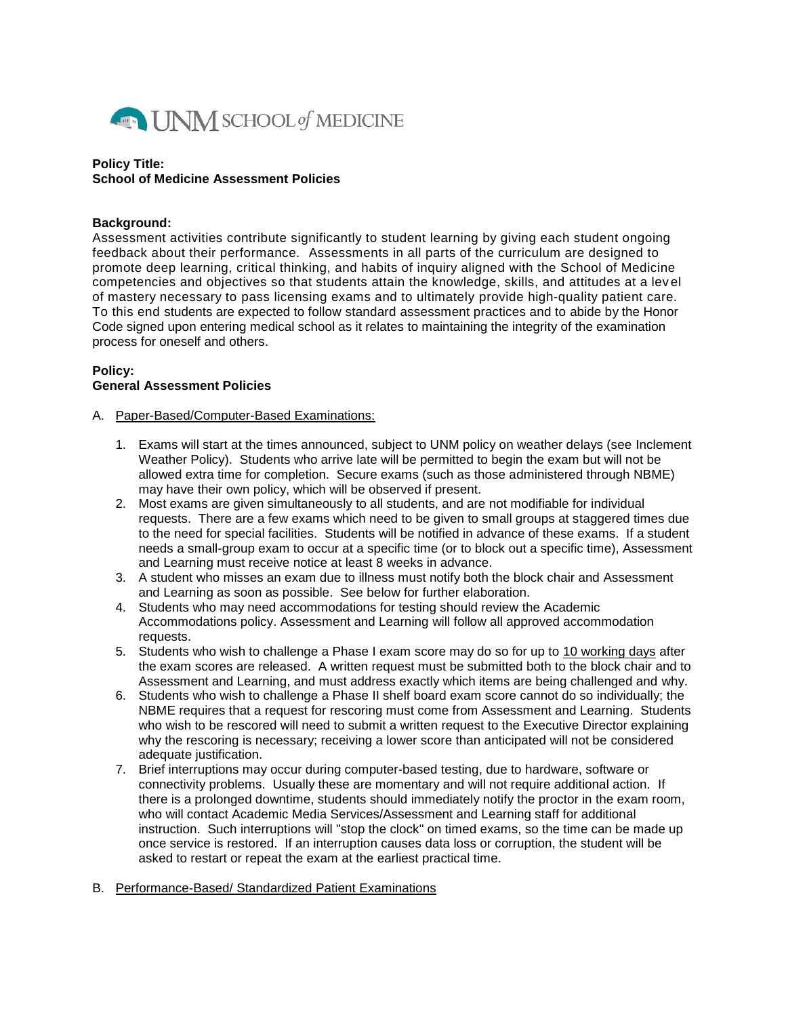

## **Policy Title: School of Medicine Assessment Policies**

## **Background:**

Assessment activities contribute significantly to student learning by giving each student ongoing feedback about their performance. Assessments in all parts of the curriculum are designed to promote deep learning, critical thinking, and habits of inquiry aligned with the School of Medicine competencies and objectives so that students attain the knowledge, skills, and attitudes at a lev el of mastery necessary to pass licensing exams and to ultimately provide high-quality patient care. To this end students are expected to follow standard assessment practices and to abide by the Honor Code signed upon entering medical school as it relates to maintaining the integrity of the examination process for oneself and others.

## **Policy: General Assessment Policies**

- A. Paper-Based/Computer-Based Examinations:
	- 1. Exams will start at the times announced, subject to UNM policy on weather delays (see Inclement Weather Policy). Students who arrive late will be permitted to begin the exam but will not be allowed extra time for completion. Secure exams (such as those administered through NBME) may have their own policy, which will be observed if present.
	- 2. Most exams are given simultaneously to all students, and are not modifiable for individual requests. There are a few exams which need to be given to small groups at staggered times due to the need for special facilities. Students will be notified in advance of these exams. If a student needs a small-group exam to occur at a specific time (or to block out a specific time), Assessment and Learning must receive notice at least 8 weeks in advance.
	- 3. A student who misses an exam due to illness must notify both the block chair and Assessment and Learning as soon as possible. See below for further elaboration.
	- 4. Students who may need accommodations for testing should review the Academic Accommodations policy. Assessment and Learning will follow all approved accommodation requests.
	- 5. Students who wish to challenge a Phase I exam score may do so for up to 10 working days after the exam scores are released. A written request must be submitted both to the block chair and to Assessment and Learning, and must address exactly which items are being challenged and why.
	- 6. Students who wish to challenge a Phase II shelf board exam score cannot do so individually; the NBME requires that a request for rescoring must come from Assessment and Learning. Students who wish to be rescored will need to submit a written request to the Executive Director explaining why the rescoring is necessary; receiving a lower score than anticipated will not be considered adequate justification.
	- 7. Brief interruptions may occur during computer-based testing, due to hardware, software or connectivity problems. Usually these are momentary and will not require additional action. If there is a prolonged downtime, students should immediately notify the proctor in the exam room, who will contact Academic Media Services/Assessment and Learning staff for additional instruction. Such interruptions will "stop the clock" on timed exams, so the time can be made up once service is restored. If an interruption causes data loss or corruption, the student will be asked to restart or repeat the exam at the earliest practical time.

## B. Performance-Based/ Standardized Patient Examinations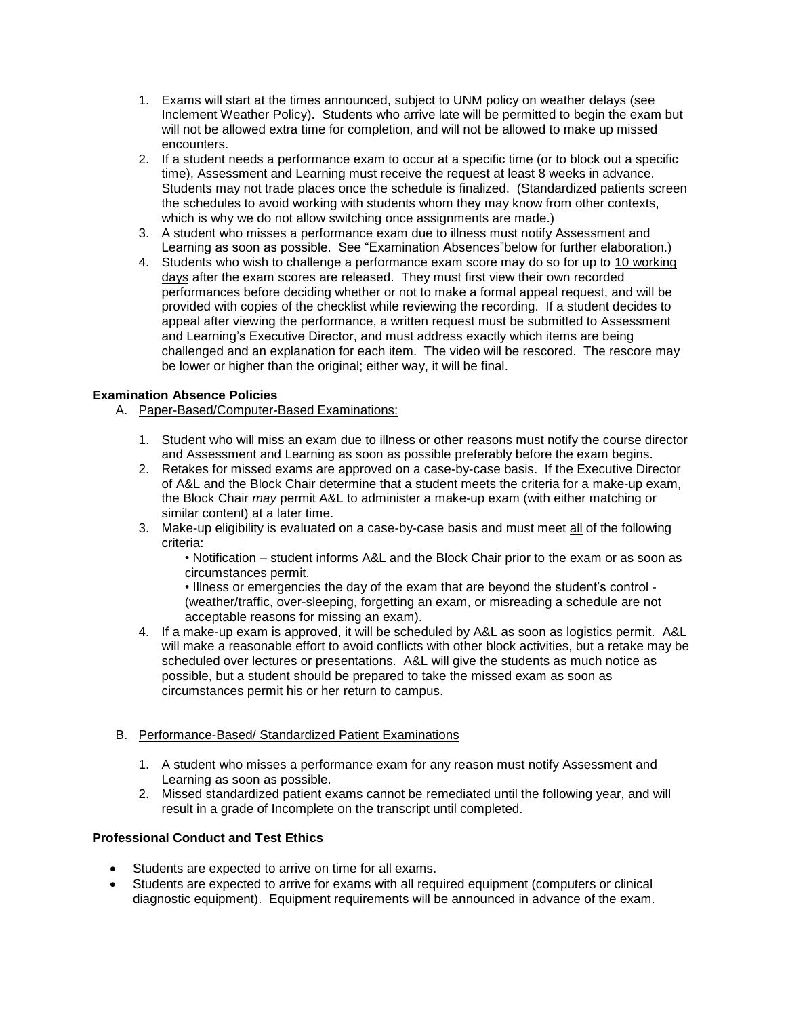- 1. Exams will start at the times announced, subject to UNM policy on weather delays (see Inclement Weather Policy). Students who arrive late will be permitted to begin the exam but will not be allowed extra time for completion, and will not be allowed to make up missed encounters.
- 2. If a student needs a performance exam to occur at a specific time (or to block out a specific time), Assessment and Learning must receive the request at least 8 weeks in advance. Students may not trade places once the schedule is finalized. (Standardized patients screen the schedules to avoid working with students whom they may know from other contexts, which is why we do not allow switching once assignments are made.)
- 3. A student who misses a performance exam due to illness must notify Assessment and Learning as soon as possible. See "Examination Absences"below for further elaboration.)
- 4. Students who wish to challenge a performance exam score may do so for up to 10 working days after the exam scores are released. They must first view their own recorded performances before deciding whether or not to make a formal appeal request, and will be provided with copies of the checklist while reviewing the recording. If a student decides to appeal after viewing the performance, a written request must be submitted to Assessment and Learning's Executive Director, and must address exactly which items are being challenged and an explanation for each item. The video will be rescored. The rescore may be lower or higher than the original; either way, it will be final.

# **Examination Absence Policies**

- A. Paper-Based/Computer-Based Examinations:
	- 1. Student who will miss an exam due to illness or other reasons must notify the course director and Assessment and Learning as soon as possible preferably before the exam begins.
	- 2. Retakes for missed exams are approved on a case-by-case basis. If the Executive Director of A&L and the Block Chair determine that a student meets the criteria for a make-up exam, the Block Chair *may* permit A&L to administer a make-up exam (with either matching or similar content) at a later time.
	- 3. Make-up eligibility is evaluated on a case-by-case basis and must meet all of the following criteria:

• Notification – student informs A&L and the Block Chair prior to the exam or as soon as circumstances permit.

• Illness or emergencies the day of the exam that are beyond the student's control - (weather/traffic, over-sleeping, forgetting an exam, or misreading a schedule are not acceptable reasons for missing an exam).

4. If a make-up exam is approved, it will be scheduled by A&L as soon as logistics permit. A&L will make a reasonable effort to avoid conflicts with other block activities, but a retake may be scheduled over lectures or presentations. A&L will give the students as much notice as possible, but a student should be prepared to take the missed exam as soon as circumstances permit his or her return to campus.

## B. Performance-Based/ Standardized Patient Examinations

- 1. A student who misses a performance exam for any reason must notify Assessment and Learning as soon as possible.
- 2. Missed standardized patient exams cannot be remediated until the following year, and will result in a grade of Incomplete on the transcript until completed.

## **Professional Conduct and Test Ethics**

- Students are expected to arrive on time for all exams.
- Students are expected to arrive for exams with all required equipment (computers or clinical diagnostic equipment). Equipment requirements will be announced in advance of the exam.